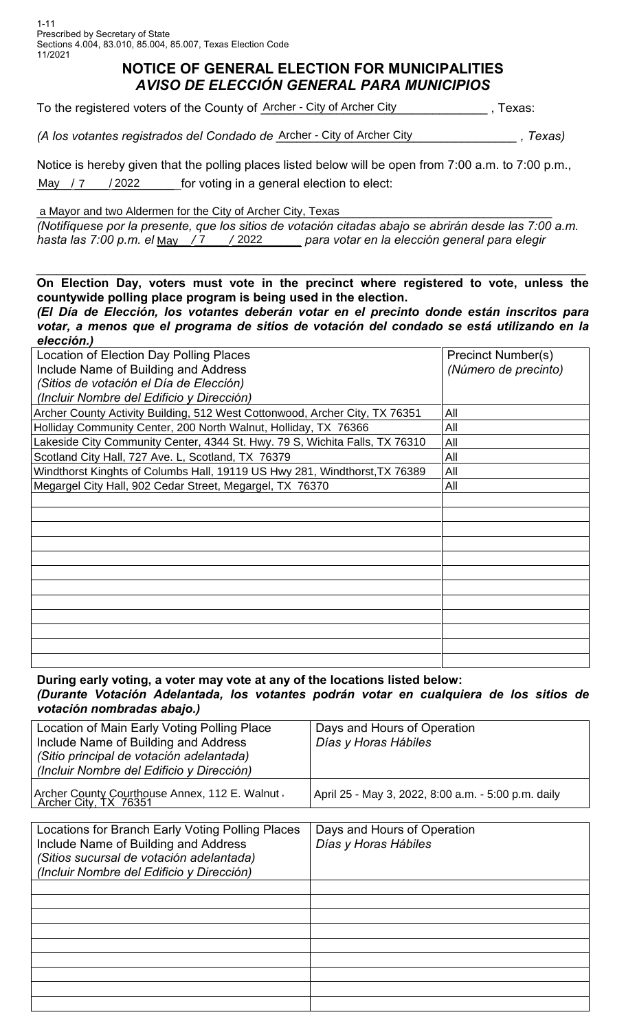## **NOTICE OF GENERAL ELECTION FOR MUNICIPALITIES** *AVISO DE ELECCIÓN GENERAL PARA MUNICIPIOS*

| To the registered voters of the County of Archer - City of Archer City |  | . Texas: |
|------------------------------------------------------------------------|--|----------|
|------------------------------------------------------------------------|--|----------|

(A los votantes registrados del Condado de Archer - City of Archer City \_\_\_\_\_\_\_\_\_\_\_\_\_\_\_, Texas)

Notice is hereby given that the polling places listed below will be open from 7:00 a.m. to 7:00 p.m., /2022 for voting in a general election to elect: May  $/7$ 

a Mayor and two Aldermen for the City of Archer City, Texas

*(Notifíquese por la presente, que los sitios de votación citadas abajo se abrirán desde las 7:00 a.m. hasta las 7:00 p.m. el \_\_\_\_\_/\_\_\_\_\_/\_\_\_\_\_\_\_\_\_\_ para votar en la elección general para elegir* May 7 2022

## *\_\_\_\_\_\_\_\_\_\_\_\_\_\_\_\_\_\_\_\_\_\_\_\_\_\_\_\_\_\_\_\_\_\_\_\_\_\_\_\_\_\_\_\_\_\_\_\_\_\_\_\_\_\_\_\_\_\_\_\_\_\_\_\_\_\_\_\_\_\_\_\_\_\_\_\_\_\_\_\_* **On Election Day, voters must vote in the precinct where registered to vote, unless the countywide polling place program is being used in the election.**

*(El Día de Elección, los votantes deberán votar en el precinto donde están inscritos para votar, a menos que el programa de sitios de votación del condado se está utilizando en la elección.)*

| Location of Election Day Polling Places                                     | <b>Precinct Number(s)</b> |  |
|-----------------------------------------------------------------------------|---------------------------|--|
| Include Name of Building and Address                                        | (Número de precinto)      |  |
| (Sitios de votación el Día de Elección)                                     |                           |  |
| (Incluir Nombre del Edificio y Dirección)                                   |                           |  |
| Archer County Activity Building, 512 West Cottonwood, Archer City, TX 76351 | All                       |  |
| Holliday Community Center, 200 North Walnut, Holliday, TX 76366             | All                       |  |
| Lakeside City Community Center, 4344 St. Hwy. 79 S, Wichita Falls, TX 76310 | All                       |  |
| Scotland City Hall, 727 Ave. L, Scotland, TX 76379                          | All                       |  |
| Windthorst Kinghts of Columbs Hall, 19119 US Hwy 281, Windthorst, TX 76389  | All                       |  |
| Megargel City Hall, 902 Cedar Street, Megargel, TX 76370                    | All                       |  |
|                                                                             |                           |  |
|                                                                             |                           |  |
|                                                                             |                           |  |
|                                                                             |                           |  |
|                                                                             |                           |  |
|                                                                             |                           |  |
|                                                                             |                           |  |
|                                                                             |                           |  |
|                                                                             |                           |  |
|                                                                             |                           |  |
|                                                                             |                           |  |
|                                                                             |                           |  |

**During early voting, a voter may vote at any of the locations listed below:** *(Durante Votación Adelantada, los votantes podrán votar en cualquiera de los sitios de votación nombradas abajo.)*

| Location of Main Early Voting Polling Place<br>Include Name of Building and Address<br>(Sitio principal de votación adelantada)<br>(Incluir Nombre del Edificio y Dirección)      | Days and Hours of Operation<br>Días y Horas Hábiles |
|-----------------------------------------------------------------------------------------------------------------------------------------------------------------------------------|-----------------------------------------------------|
| Archer County Courthouse Annex, 112 E. Walnut, Archer City, TX 76351                                                                                                              | April 25 - May 3, 2022, 8:00 a.m. - 5:00 p.m. daily |
|                                                                                                                                                                                   |                                                     |
| Locations for Branch Early Voting Polling Places<br>Include Name of Building and Address<br>(Sitios sucursal de votación adelantada)<br>(Incluir Nombre del Edificio y Dirección) | Days and Hours of Operation<br>Días y Horas Hábiles |
|                                                                                                                                                                                   |                                                     |
|                                                                                                                                                                                   |                                                     |
|                                                                                                                                                                                   |                                                     |
|                                                                                                                                                                                   |                                                     |
|                                                                                                                                                                                   |                                                     |
|                                                                                                                                                                                   |                                                     |
|                                                                                                                                                                                   |                                                     |